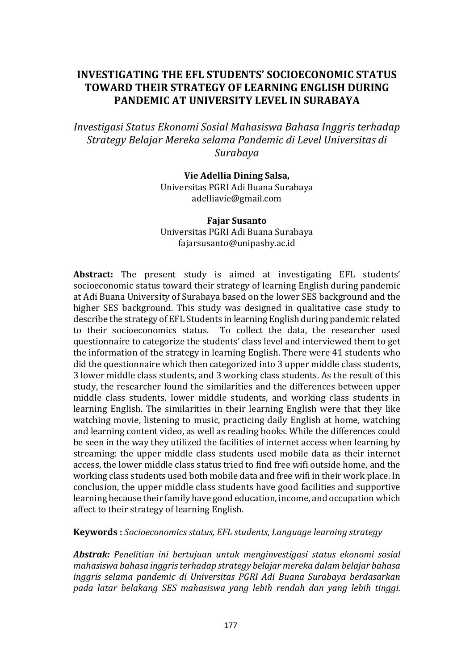# **INVESTIGATING THE EFL STUDENTS' SOCIOECONOMIC STATUS TOWARD THEIR STRATEGY OF LEARNING ENGLISH DURING PANDEMIC AT UNIVERSITY LEVEL IN SURABAYA**

*Investigasi Status Ekonomi Sosial Mahasiswa Bahasa Inggris terhadap Strategy Belajar Mereka selama Pandemic di Level Universitas di Surabaya*

> **Vie Adellia Dining Salsa,**  Universitas PGRI Adi Buana Surabaya adelliavie@gmail.com

> **Fajar Susanto** Universitas PGRI Adi Buana Surabaya fajarsusanto@unipasby.ac.id

**Abstract:** The present study is aimed at investigating EFL students' socioeconomic status toward their strategy of learning English during pandemic at Adi Buana University of Surabaya based on the lower SES background and the higher SES background. This study was designed in qualitative case study to describe the strategy of EFL Students in learning English during pandemic related<br>to their socioeconomics status. To collect the data, the researcher used To collect the data, the researcher used questionnaire to categorize the students' class level and interviewed them to get the information of the strategy in learning English. There were 41 students who did the questionnaire which then categorized into 3 upper middle class students, 3 lower middle class students, and 3 working class students. As the result of this study, the researcher found the similarities and the differences between upper middle class students, lower middle students, and working class students in learning English. The similarities in their learning English were that they like watching movie, listening to music, practicing daily English at home, watching and learning content video, as well as reading books. While the differences could be seen in the way they utilized the facilities of internet access when learning by streaming: the upper middle class students used mobile data as their internet access, the lower middle class status tried to find free wifi outside home, and the working class students used both mobile data and free wifi in their work place. In conclusion, the upper middle class students have good facilities and supportive learning because their family have good education, income, and occupation which affect to their strategy of learning English.

## **Keywords :** *Socioeconomics status, EFL students, Language learning strategy*

*Abstrak: Penelitian ini bertujuan untuk menginvestigasi status ekonomi sosial mahasiswa bahasa inggris terhadap strategy belajar mereka dalam belajar bahasa inggris selama pandemic di Universitas PGRI Adi Buana Surabaya berdasarkan pada latar belakang SES mahasiswa yang lebih rendah dan yang lebih tinggi.*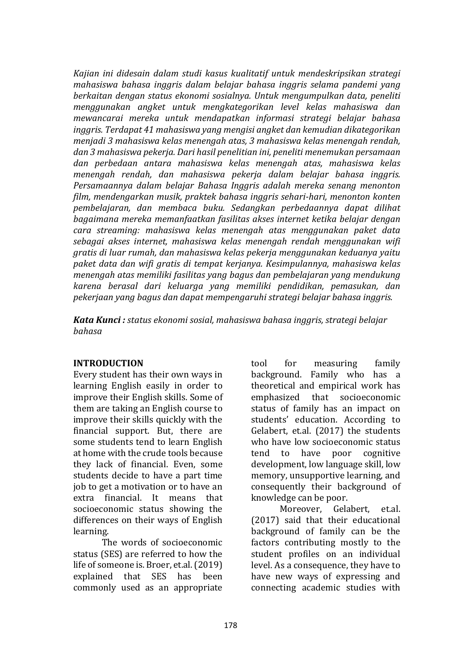*Kajian ini didesain dalam studi kasus kualitatif untuk mendeskripsikan strategi mahasiswa bahasa inggris dalam belajar bahasa inggris selama pandemi yang berkaitan dengan status ekonomi sosialnya. Untuk mengumpulkan data, peneliti menggunakan angket untuk mengkategorikan level kelas mahasiswa dan mewancarai mereka untuk mendapatkan informasi strategi belajar bahasa inggris. Terdapat 41 mahasiswa yang mengisi angket dan kemudian dikategorikan menjadi 3 mahasiswa kelas menengah atas, 3 mahasiswa kelas menengah rendah, dan 3 mahasiswa pekerja. Dari hasil penelitian ini, peneliti menemukan persamaan dan perbedaan antara mahasiswa kelas menengah atas, mahasiswa kelas menengah rendah, dan mahasiswa pekerja dalam belajar bahasa inggris. Persamaannya dalam belajar Bahasa Inggris adalah mereka senang menonton film, mendengarkan musik, praktek bahasa inggris sehari-hari, menonton konten pembelajaran, dan membaca buku. Sedangkan perbedaannya dapat dilihat bagaimana mereka memanfaatkan fasilitas akses internet ketika belajar dengan cara streaming: mahasiswa kelas menengah atas menggunakan paket data sebagai akses internet, mahasiswa kelas menengah rendah menggunakan wifi gratis di luar rumah, dan mahasiswa kelas pekerja menggunakan keduanya yaitu paket data dan wifi gratis di tempat kerjanya. Kesimpulannya, mahasiswa kelas menengah atas memiliki fasilitas yang bagus dan pembelajaran yang mendukung karena berasal dari keluarga yang memiliki pendidikan, pemasukan, dan pekerjaan yang bagus dan dapat mempengaruhi strategi belajar bahasa inggris.* 

*Kata Kunci : status ekonomi sosial, mahasiswa bahasa inggris, strategi belajar bahasa*

## **INTRODUCTION**

Every student has their own ways in learning English easily in order to improve their English skills. Some of them are taking an English course to improve their skills quickly with the financial support. But, there are some students tend to learn English at home with the crude tools because they lack of financial. Even, some students decide to have a part time job to get a motivation or to have an extra financial. It means that socioeconomic status showing the differences on their ways of English learning.

The words of socioeconomic status (SES) are referred to how the life of someone is. Broer, et.al. (2019)<br>explained that SES has been explained that SES commonly used as an appropriate

tool for measuring family background. Family who has a theoretical and empirical work has<br>emphasized that socioeconomic that socioeconomic status of family has an impact on students' education. According to Gelabert, et.al. (2017) the students who have low socioeconomic status<br>tend to have poor cognitive cognitive development, low language skill, low memory, unsupportive learning, and consequently their background of knowledge can be poor.

Gelabert, et.al. (2017) said that their educational background of family can be the factors contributing mostly to the student profiles on an individual level. As a consequence, they have to have new ways of expressing and connecting academic studies with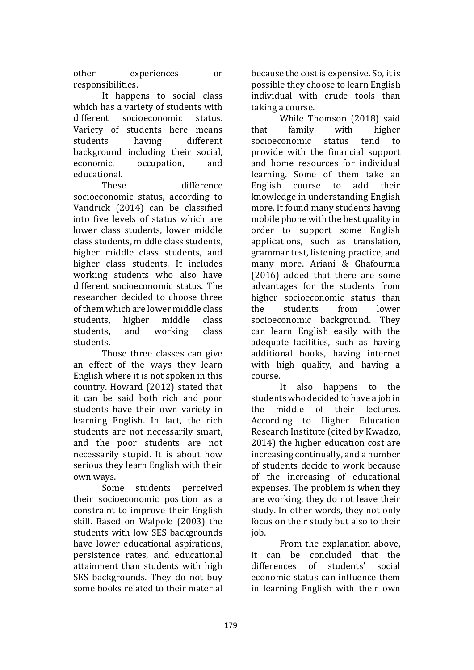other experiences or responsibilities.

It happens to social class which has a variety of students with<br>different socioeconomic status. socioeconomic Variety of students here means<br>students having different students having different background including their social, economic, occupation, and educational.

These difference socioeconomic status, according to Vandrick (2014) can be classified into five levels of status which are lower class students, lower middle class students, middle class students, higher middle class students, and higher class students. It includes working students who also have different socioeconomic status. The researcher decided to choose three of them which are lower middle class<br>students. higher middle class students, higher middle class<br>students, and working class working students.

Those three classes can give an effect of the ways they learn English where it is not spoken in this country. Howard (2012) stated that it can be said both rich and poor students have their own variety in learning English. In fact, the rich students are not necessarily smart, and the poor students are not necessarily stupid. It is about how serious they learn English with their

own ways. students perceived their socioeconomic position as a constraint to improve their English skill. Based on Walpole (2003) the students with low SES backgrounds have lower educational aspirations, persistence rates, and educational attainment than students with high SES backgrounds. They do not buy some books related to their material because the cost is expensive. So, it is possible they choose to learn English individual with crude tools than taking a course.

While Thomson (2018) said<br>family with higher that family with higher<br>socioeconomic status tend to socioeconomic provide with the financial support and home resources for individual learning. Some of them take an English course to add their knowledge in understanding English more. It found many students having mobile phone with the best quality in order to support some English applications, such as translation, grammar test, listening practice, and many more. Ariani & Ghafournia (2016) added that there are some advantages for the students from higher socioeconomic status than<br>the students from lower students socioeconomic background. They can learn English easily with the adequate facilities, such as having additional books, having internet with high quality, and having a course.

It also happens to the students who decided to have a job in<br>the middle of their lectures. of their lectures. According to Higher Education Research Institute (cited by Kwadzo, 2014) the higher education cost are increasing continually, and a number of students decide to work because of the increasing of educational expenses. The problem is when they are working, they do not leave their study. In other words, they not only focus on their study but also to their job.

From the explanation above, it can be concluded that the<br>differences of students' social students' economic status can influence them in learning English with their own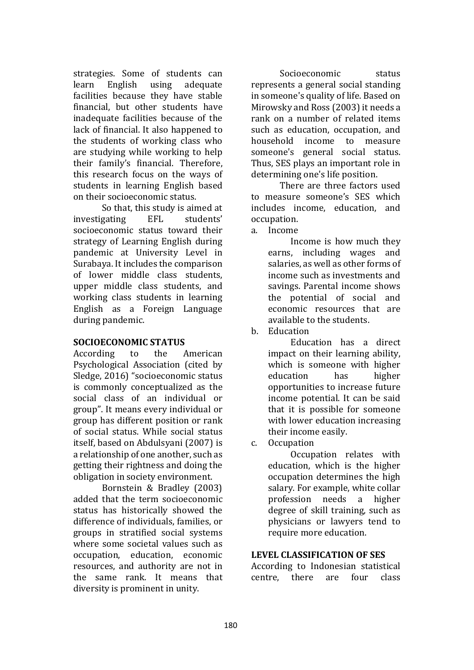strategies. Some of students can<br>learn English using adequate learn English using adequate facilities because they have stable financial, but other students have inadequate facilities because of the lack of financial. It also happened to the students of working class who are studying while working to help their family's financial. Therefore, this research focus on the ways of students in learning English based on their socioeconomic status.

So that, this study is aimed at<br>gating EFL students' investigating socioeconomic status toward their strategy of Learning English during pandemic at University Level in Surabaya. It includes the comparison of lower middle class students, upper middle class students, and working class students in learning English as a Foreign Language during pandemic.

## **SOCIOECONOMIC STATUS**

According to the American Psychological Association (cited by Sledge, 2016) "socioeconomic status is commonly conceptualized as the social class of an individual or group". It means every individual or group has different position or rank of social status. While social status itself, based on Abdulsyani (2007) is a relationship of one another, such as getting their rightness and doing the obligation in society environment.

Bornstein & Bradley (2003) added that the term socioeconomic status has historically showed the difference of individuals, families, or groups in stratified social systems where some societal values such as occupation, education, economic resources, and authority are not in the same rank. It means that diversity is prominent in unity.

Socioeconomic status represents a general social standing in someone's quality of life. Based on Mirowsky and Ross (2003) it needs a rank on a number of related items such as education, occupation, and<br>household income to measure income to someone's general social status. Thus, SES plays an important role in determining one's life position.

There are three factors used to measure someone's SES which includes income, education, and occupation.

a. Income

Income is how much they earns, including wages and salaries, as well as other forms of income such as investments and savings. Parental income shows the potential of social and economic resources that are available to the students.

b. Education

Education has a direct impact on their learning ability, which is someone with higher<br>education has higher education opportunities to increase future income potential. It can be said that it is possible for someone with lower education increasing their income easily.

c. Occupation

Occupation relates with education, which is the higher occupation determines the high salary. For example, white collar profession needs a higher degree of skill training, such as physicians or lawyers tend to require more education.

## **LEVEL CLASSIFICATION OF SES**

According to Indonesian statistical<br>centre, there are four class centre, there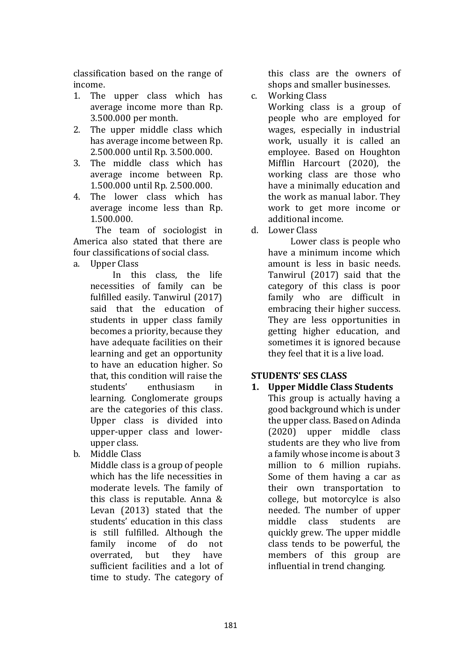classification based on the range of income.

- 1. The upper class which has average income more than Rp. 3.500.000 per month.
- 2. The upper middle class which has average income between Rp. 2.500.000 until Rp. 3.500.000.
- 3. The middle class which has average income between Rp. 1.500.000 until Rp. 2.500.000.
- 4. The lower class which has average income less than Rp. 1.500.000.

The team of sociologist in America also stated that there are four classifications of social class.

a. Upper Class

this class, the life necessities of family can be fulfilled easily. Tanwirul (2017) said that the education of students in upper class family becomes a priority, because they have adequate facilities on their learning and get an opportunity to have an education higher. So that, this condition will raise the<br>students' enthusiasm in enthusiasm learning. Conglomerate groups are the categories of this class. Upper class is divided into upper-upper class and lowerupper class.

b. Middle Class

Middle class is a group of people which has the life necessities in moderate levels. The family of this class is reputable. Anna & Levan (2013) stated that the students' education in this class is still fulfilled. Although the family income of do not<br>overrated, but they have overrated, but they have sufficient facilities and a lot of time to study. The category of this class are the owners of shops and smaller businesses.

c. Working Class Working class is a group of people who are employed for wages, especially in industrial work, usually it is called an employee. Based on Houghton Mifflin Harcourt (2020), the working class are those who have a minimally education and the work as manual labor. They work to get more income or additional income.

d. Lower Class

Lower class is people who have a minimum income which amount is less in basic needs. Tanwirul (2017) said that the category of this class is poor family who are difficult in embracing their higher success. They are less opportunities in getting higher education, and sometimes it is ignored because they feel that it is a live load.

# **STUDENTS' SES CLASS**

**1. Upper Middle Class Students** This group is actually having a good background which is under the upper class. Based on Adinda (2020) upper middle class students are they who live from a family whose income is about 3 million to 6 million rupiahs. Some of them having a car as their own transportation to college, but motorcylce is also needed. The number of upper<br>middle class students are middle class quickly grew. The upper middle class tends to be powerful, the members of this group are influential in trend changing.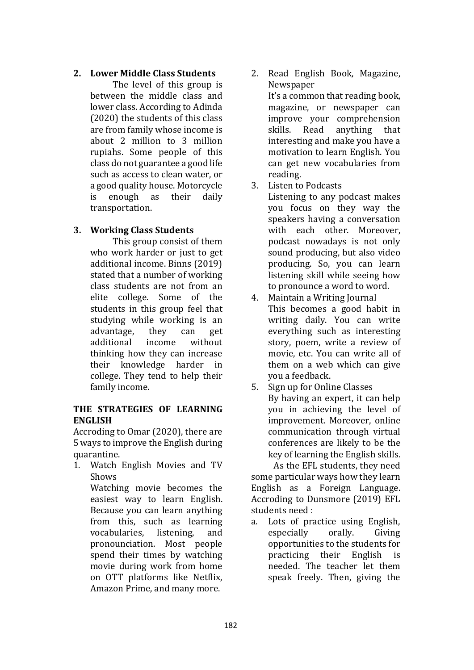## **2. Lower Middle Class Students**

The level of this group is between the middle class and lower class. According to Adinda (2020) the students of this class are from family whose income is about 2 million to 3 million rupiahs. Some people of this class do not guarantee a good life such as access to clean water, or a good quality house. Motorcycle<br>is enough as their daily enough transportation.

# **3. Working Class Students**

This group consist of them who work harder or just to get additional income. Binns (2019) stated that a number of working class students are not from an elite college. Some of the students in this group feel that studying while working is an<br>advantage. they can get advantage, they can get<br>additional income without additional thinking how they can increase their knowledge harder in college. They tend to help their family income.

## **THE STRATEGIES OF LEARNING ENGLISH**

Accroding to Omar (2020), there are 5 ways to improve the English during quarantine.

1. Watch English Movies and TV Shows

Watching movie becomes the easiest way to learn English. Because you can learn anything from this, such as learning<br>vocabularies, listening, and vocabularies. pronounciation. Most people spend their times by watching movie during work from home on OTT platforms like Netflix, Amazon Prime, and many more.

2. Read English Book, Magazine, **Newspaper** 

It's a common that reading book, magazine, or newspaper can improve your comprehension<br>skills. Read anything that anything interesting and make you have a motivation to learn English. You can get new vocabularies from reading.

3. Listen to Podcasts

Listening to any podcast makes you focus on they way the speakers having a conversation with each other. Moreover, podcast nowadays is not only sound producing, but also video producing. So, you can learn listening skill while seeing how to pronounce a word to word.

- 4. Maintain a Writing Journal This becomes a good habit in writing daily. You can write everything such as interesting story, poem, write a review of movie, etc. You can write all of them on a web which can give you a feedback.
- 5. Sign up for Online Classes By having an expert, it can help you in achieving the level of improvement. Moreover, online communication through virtual conferences are likely to be the key of learning the English skills.

As the EFL students, they need some particular ways how they learn English as a Foreign Language. Accroding to Dunsmore (2019) EFL students need :<br>a. Lots of pra

Lots of practice using English,<br>especially orally. Giving especially opportunities to the students for<br>practicing their English is practicing needed. The teacher let them speak freely. Then, giving the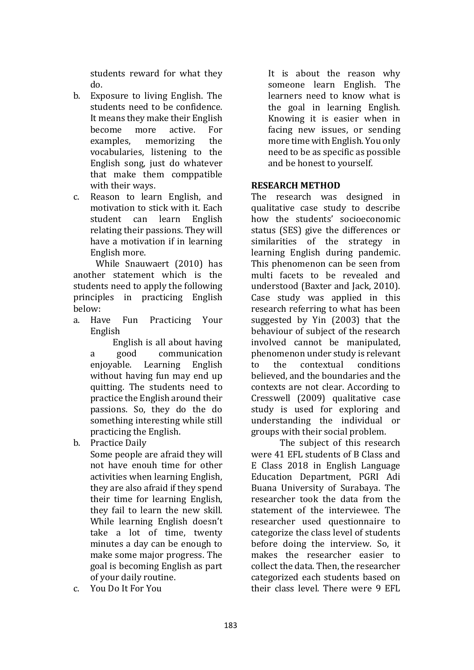students reward for what they do.

- b. Exposure to living English. The students need to be confidence. It means they make their English<br>become more active. For become more active. For<br>examples. memorizing the memorizing vocabularies, listening to the English song, just do whatever that make them comppatible with their ways.
- c. Reason to learn English, and motivation to stick with it. Each<br>student can learn English student can learn relating their passions. They will have a motivation if in learning English more.

While Snauwaert (2010) has another statement which is the students need to apply the following principles in practicing English below:<br>a. Have Fun

Practicing Your English

English is all about having a good communication<br>eniovable. Learning English Learning English without having fun may end up quitting. The students need to practice the English around their passions. So, they do the do something interesting while still practicing the English.

b. Practice Daily

Some people are afraid they will not have enouh time for other activities when learning English, they are also afraid if they spend their time for learning English, they fail to learn the new skill. While learning English doesn't take a lot of time, twenty minutes a day can be enough to make some major progress. The goal is becoming English as part of your daily routine.

c. You Do It For You

It is about the reason why someone learn English. The learners need to know what is the goal in learning English. Knowing it is easier when in facing new issues, or sending more time with English. You only need to be as specific as possible and be honest to yourself.

## **RESEARCH METHOD**

The research was designed in qualitative case study to describe how the students' socioeconomic status (SES) give the differences or similarities of the strategy in learning English during pandemic. This phenomenon can be seen from multi facets to be revealed and understood (Baxter and Jack, 2010). Case study was applied in this research referring to what has been suggested by Yin (2003) that the behaviour of subject of the research involved cannot be manipulated, phenomenon under study is relevant<br>to the contextual conditions contextual believed, and the boundaries and the contexts are not clear. According to Cresswell (2009) qualitative case study is used for exploring and understanding the individual or groups with their social problem.

The subject of this research were 41 EFL students of B Class and E Class 2018 in English Language Education Department, PGRI Adi Buana University of Surabaya. The researcher took the data from the statement of the interviewee. The researcher used questionnaire to categorize the class level of students before doing the interview. So, it makes the researcher easier to collect the data. Then, the researcher categorized each students based on their class level. There were 9 EFL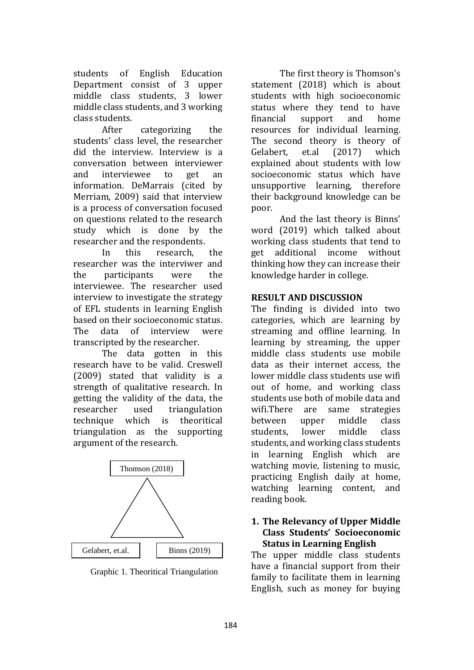students of English Education Department consist of 3 upper middle class students, 3 lower middle class students, and 3 working class students.

categorizing the students' class level, the researcher did the interview. Interview is a conversation between interviewer<br>and interviewee to get an interviewee information. DeMarrais (cited by Merriam, 2009) said that interview is a process of conversation focused on questions related to the research study which is done by the researcher and the respondents.<br>In this research.

research, the researcher was the interviwer and<br>the participants were the participants interviewee. The researcher used interview to investigate the strategy of EFL students in learning English based on their socioeconomic status.<br>The data of interview were interview transcripted by the researcher.

The data gotten in this research have to be valid. Creswell (2009) stated that validity is a strength of qualitative research. In getting the validity of the data, the<br>researcher used triangulation researcher used triangulation<br>technique which is theoritical theoritical triangulation as the supporting argument of the research.



Graphic 1. Theoritical Triangulation

The first theory is Thomson's statement (2018) which is about students with high socioeconomic status where they tend to have<br>financial support and home financial support and home resources for individual learning. The second theory is theory of<br>Gelabert, et.al (2017) which Gelabert, explained about students with low socioeconomic status which have unsupportive learning, therefore their background knowledge can be poor.

And the last theory is Binns' word (2019) which talked about working class students that tend to<br>get additional income without additional income without thinking how they can increase their knowledge harder in college.

# **RESULT AND DISCUSSION**

The finding is divided into two categories, which are learning by streaming and offline learning. In learning by streaming, the upper middle class students use mobile data as their internet access, the lower middle class students use wifi out of home, and working class students use both of mobile data and wifi.There are same strategies<br>between upper middle class between upper middle class<br>students. lower middle class students. students, and working class students in learning English which are watching movie, listening to music, practicing English daily at home, watching learning content, and reading book.

#### **1. The Relevancy of Upper Middle Class Students' Socioeconomic Status in Learning English**

The upper middle class students have a financial support from their family to facilitate them in learning English, such as money for buying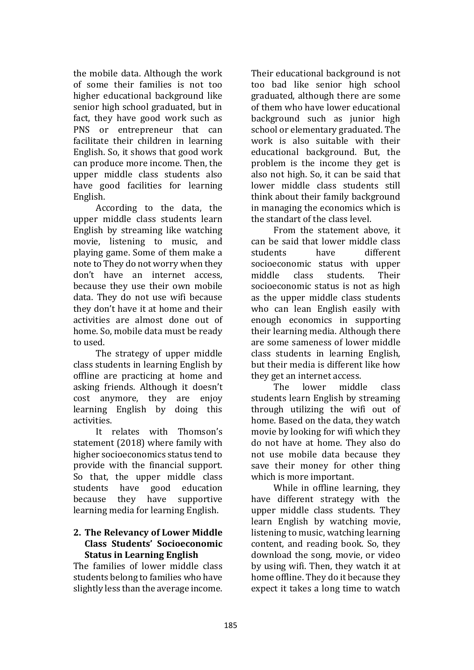the mobile data. Although the work of some their families is not too higher educational background like senior high school graduated, but in fact, they have good work such as PNS or entrepreneur that can facilitate their children in learning English. So, it shows that good work can produce more income. Then, the upper middle class students also have good facilities for learning English.

According to the data, the upper middle class students learn English by streaming like watching movie, listening to music, and playing game. Some of them make a note to They do not worry when they don't have an internet access, because they use their own mobile data. They do not use wifi because they don't have it at home and their activities are almost done out of home. So, mobile data must be ready to used.

The strategy of upper middle class students in learning English by offline are practicing at home and asking friends. Although it doesn't cost anymore, they are enjoy learning English by doing this activities.

It relates with Thomson's statement (2018) where family with higher socioeconomics status tend to provide with the financial support. So that, the upper middle class<br>students have good education students have good education<br>because they have supportive they have learning media for learning English.

#### **2. The Relevancy of Lower Middle Class Students' Socioeconomic Status in Learning English**

The families of lower middle class students belong to families who have slightly less than the average income. Their educational background is not too bad like senior high school graduated, although there are some of them who have lower educational background such as junior high school or elementary graduated. The work is also suitable with their educational background. But, the problem is the income they get is also not high. So, it can be said that lower middle class students still think about their family background in managing the economics which is the standart of the class level.

From the statement above, it can be said that lower middle class<br>students bave different different socioeconomic status with upper<br>middle class students. Their students. socioeconomic status is not as high as the upper middle class students who can lean English easily with enough economics in supporting their learning media. Although there are some sameness of lower middle class students in learning English, but their media is different like how they get an internet access.<br>The lower middl

middle class students learn English by streaming through utilizing the wifi out of home. Based on the data, they watch movie by looking for wifi which they do not have at home. They also do not use mobile data because they save their money for other thing which is more important.

While in offline learning, they have different strategy with the upper middle class students. They learn English by watching movie, listening to music, watching learning content, and reading book. So, they download the song, movie, or video by using wifi. Then, they watch it at home offline. They do it because they expect it takes a long time to watch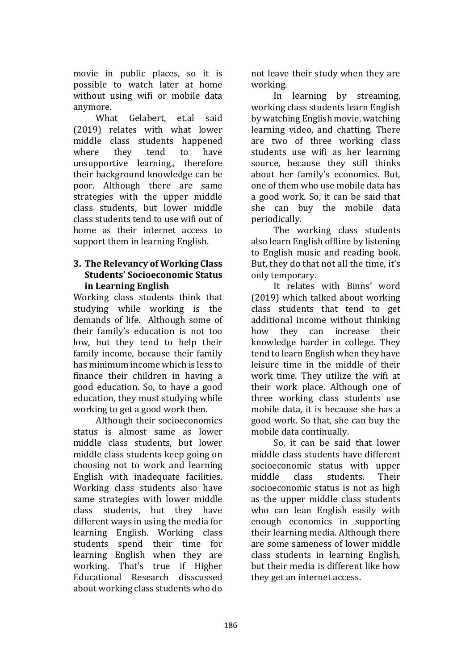movie in public places, so it is possible to watch later at home without using wifi or mobile data anymore.

What Gelabert, et.al said (2019) relates with what lower middle class students happened<br>where they tend to have where they tend to have unsupportive learning., therefore their background knowledge can be poor. Although there are same strategies with the upper middle class students, but lower middle class students tend to use wifi out of home as their internet access to support them in learning English.

## **3. The Relevancy of Working Class Students' Socioeconomic Status in Learning English**

Working class students think that studying while working is the demands of life. Although some of their family's education is not too low, but they tend to help their family income, because their family has minimum income which is less to finance their children in having a good education. So, to have a good education, they must studying while working to get a good work then.

Although their socioeconomics status is almost same as lower middle class students, but lower middle class students keep going on choosing not to work and learning English with inadequate facilities. Working class students also have same strategies with lower middle class students, but they have different ways in using the media for learning English. Working class students spend their time for learning English when they are working. That's true if Higher Educational Research disscussed about working class students who do

not leave their study when they are working.

In learning by streaming, working class students learn English by watching English movie, watching learning video, and chatting. There are two of three working class students use wifi as her learning source, because they still thinks about her family's economics. But, one of them who use mobile data has a good work. So, it can be said that she can buy the mobile data periodically.

The working class students also learn English offline by listening to English music and reading book. But, they do that not all the time, it's only temporary.

It relates with Binns' word (2019) which talked about working class students that tend to get additional income without thinking<br>how they can increase their they can increase their knowledge harder in college. They tend to learn English when they have leisure time in the middle of their work time. They utilize the wifi at their work place. Although one of three working class students use mobile data, it is because she has a good work. So that, she can buy the mobile data continually.

So, it can be said that lower middle class students have different socioeconomic status with upper<br>middle class students. Their students. socioeconomic status is not as high as the upper middle class students who can lean English easily with enough economics in supporting their learning media. Although there are some sameness of lower middle class students in learning English, but their media is different like how they get an internet access.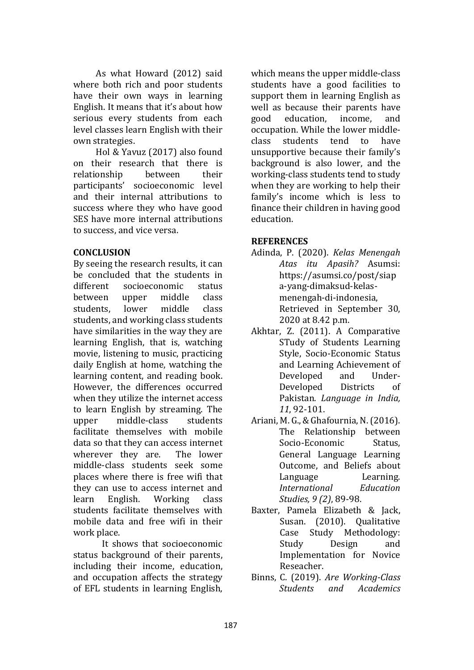As what Howard (2012) said where both rich and poor students have their own ways in learning English. It means that it's about how serious every students from each level classes learn English with their own strategies.

Hol & Yavuz (2017) also found on their research that there is<br>relationship between their relationship participants' socioeconomic level and their internal attributions to success where they who have good SES have more internal attributions to success, and vice versa.

#### **CONCLUSION**

By seeing the research results, it can be concluded that the students in<br>different socioeconomic status socioeconomic status<br>upper middle class between upper middle class<br>students. lower middle class students. students, and working class students have similarities in the way they are learning English, that is, watching movie, listening to music, practicing daily English at home, watching the learning content, and reading book. However, the differences occurred when they utilize the internet access to learn English by streaming. The<br>unner middle-class students middle-class facilitate themselves with mobile data so that they can access internet<br>wherever they are. The lower wherever they are. middle-class students seek some places where there is free wifi that they can use to access internet and<br>learn English. Working class Working students facilitate themselves with mobile data and free wifi in their work place.

It shows that socioeconomic status background of their parents, including their income, education, and occupation affects the strategy of EFL students in learning English, which means the upper middle-class students have a good facilities to support them in learning English as well as because their parents have<br>good education. income. and education. occupation. While the lower middle-<br>class students tend to have students tend unsupportive because their family's background is also lower, and the working-class students tend to study when they are working to help their family's income which is less to finance their children in having good education.

#### **REFERENCES**

- Adinda, P. (2020). *Kelas Menengah Atas itu Apasih?* Asumsi: https://asumsi.co/post/siap a-yang-dimaksud-kelasmenengah-di-indonesia, Retrieved in September 30, 2020 at 8.42 p.m.
- Akhtar, Z. (2011). A Comparative STudy of Students Learning Style, Socio-Economic Status and Learning Achievement of<br>Developed and Hnder-Developed and Under-<br>Developed Districts of Developed Pakistan. *Language in India, 11*, 92-101.
- Ariani, M. G., & Ghafournia, N. (2016). The Relationship between<br>Socio-Economic Status. Socio-Economic General Language Learning Outcome, and Beliefs about<br>Language Learning. Language Learning.<br>International Education *International Studies, 9 (2)*, 89-98.
- Baxter, Pamela Elizabeth & Jack, Susan. (2010). Qualitative Case Study Methodology:<br>Study Design and Design Implementation for Novice Reseacher.
- Binns, C. (2019). *Are Working-Class Students and Academics*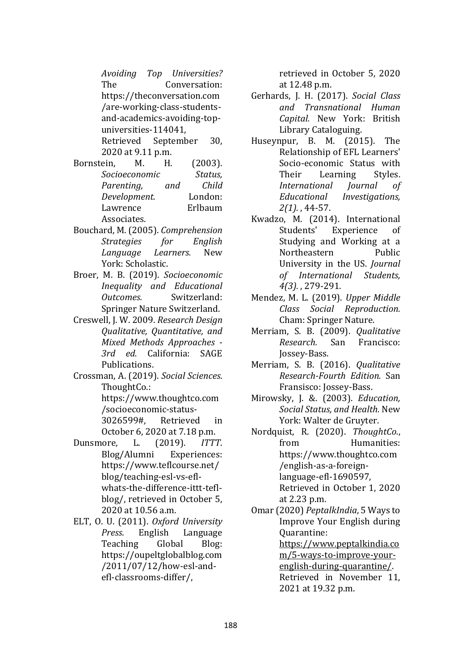*Avoiding Top Universities?* The Conversation: https://theconversation.com /are-working-class-studentsand-academics-avoiding-topuniversities-114041, Retrieved September 30,

- 2020 at 9.11 p.m.<br>
ein. M. H. Bornstein, M. H. (2003).<br>Socioeconomic Status. *Socioeconomic Status, Parenting, and Child Development.* London: Lawrence Associates.
- Bouchard, M. (2005). *Comprehension Strategies Language Learners.* New York: Scholastic.
- Broer, M. B. (2019). *Socioeconomic Inequality and Educational Outcomes.* Switzerland: Springer Nature Switzerland.
- Creswell, J. W. 2009. *Research Design Qualitative, Quantitative, and Mixed Methods Approaches - 3rd ed.* California: SAGE **Publications**
- Crossman, A. (2019). *Social Sciences*. ThoughtCo.: https://www.thoughtco.com
	- /socioeconomic-status-3026599#, Retrieved in
- October 6, 2020 at 7.18 p.m.<br>nore, L. (2019). ITTT. Dunsmore, L. (2019). *ITTT*. Blog/Alumni https://www.teflcourse.net/ blog/teaching-esl-vs-eflwhats-the-difference-ittt-teflblog/, retrieved in October 5, 2020 at 10.56 a.m.
- ELT, O. U. (2011). *Oxford University Press*. English Language Teaching https://oupeltglobalblog.com /2011/07/12/how-esl-andefl-classrooms-differ/,

retrieved in October 5, 2020 at 12.48 p.m.

- Gerhards, J. H. (2017). *Social Class and Transnational Human Capital.* New York: British Library Cataloguing.
- Huseynpur, B. M. (2015). The Relationship of EFL Learners' Socio-economic Status with<br>Their Learning Styles. Learning Styles.<br> *Inal Iournal of International Educational Investigations, 2(1).* , 44-57.
- Kwadzo, M. (2014). International Experience Studying and Working at a<br>Northeastern Public Northeastern University in the US. *Journal of International Students, 4(3).* , 279-291.
- Mendez, M. L. (2019). *Upper Middle Class Social Reproduction.* Cham: Springer Nature.
- Merriam, S. B. (2009). *Qualitative*  **Francisco:** Jossey-Bass.
- Merriam, S. B. (2016). *Qualitative Research-Fourth Edition.* San Fransisco: Jossey-Bass.
- Mirowsky, J. &. (2003). *Education, Social Status, and Health.* New York: Walter de Gruyter.
- Nordquist, R. (2020). *ThoughtCo.*, Humanities: https://www.thoughtco.com /english-as-a-foreignlanguage-efl-1690597, Retrieved in October 1, 2020 at 2.23 p.m.
- Omar (2020) *PeptalkIndia*, 5 Ways to Improve Your English during Quarantine: [https://www.peptalkindia.co](https://www.peptalkindia.com/5-ways-to-improve-your-english-during-quarantine/)

[m/5-ways-to-improve-your](https://www.peptalkindia.com/5-ways-to-improve-your-english-during-quarantine/)[english-during-quarantine/.](https://www.peptalkindia.com/5-ways-to-improve-your-english-during-quarantine/)  Retrieved in November 11, 2021 at 19.32 p.m.